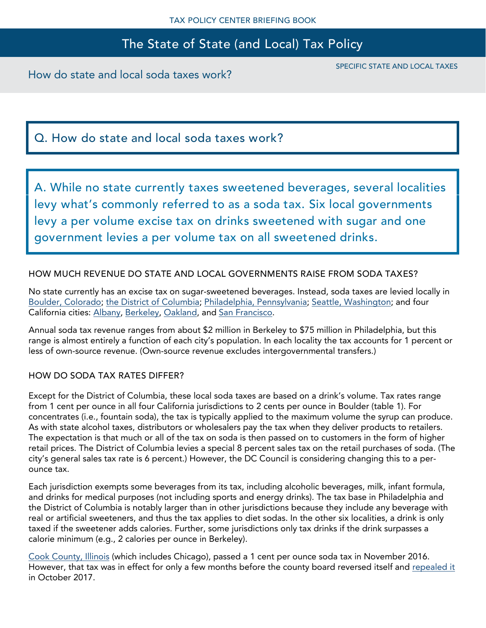# The State of State (and Local) Tax Policy

How do state and local soda taxes work?

SPECIFIC STATE AND LOCAL TAXES

## Q. How do state and local soda taxes work?

A. While no state currently taxes sweetened beverages, several localities levy what's commonly referred to as a soda tax. Six local governments levy a per volume excise tax on drinks sweetened with sugar and one government levies a per volume tax on all sweetened drinks.

### HOW MUCH REVENUE DO STATE AND LOCAL GOVERNMENTS RAISE FROM SODA TAXES?

No state currently has an excise tax on sugar-sweetened beverages. Instead, soda taxes are levied locally in [Boulder, Colorado;](https://bouldercolorado.gov/tax-license/finance-sugar-sweetened-beverage-tax) [the District of Columbia;](https://otr.cfo.dc.gov/release/district-columbia-tax-changes-take-effect-october-1) [Philadelphia, Pennsylvania;](http://www.phillybevtax.com/) [Seattle, Washington;](https://www.seattle.gov/business-licenses-and-taxes/business-license-taxes/other-seattle-taxes/sweetened-beverage-tax) and four California cities: [Albany,](http://www.albanyca.org/departments/finance/sugar-sweetened-beverage-tax) [Berkeley,](https://www.cityofberkeley.info/uploadedFiles/Finance/Level_3_-_General/Frequently%20Asked%20Questions%20Edited%20Version%20111015.2.pdf) [Oakland,](https://www.oaklandsodataxnews.org/sodataxbasics/) and [San Francisco.](https://sftreasurer.org/sugary-drinks-tax)

Annual soda tax revenue ranges from about \$2 million in Berkeley to \$75 million in Philadelphia, but this range is almost entirely a function of each city's population. In each locality the tax accounts for 1 percent or less of own-source revenue. (Own-source revenue excludes intergovernmental transfers.)

### HOW DO SODA TAX RATES DIFFER?

Except for the District of Columbia, these local soda taxes are based on a drink's volume. Tax rates range from 1 cent per ounce in all four California jurisdictions to 2 cents per ounce in Boulder (table 1). For concentrates (i.e., fountain soda), the tax is typically applied to the maximum volume the syrup can produce. As with state alcohol taxes, distributors or wholesalers pay the tax when they deliver products to retailers. The expectation is that much or all of the tax on soda is then passed on to customers in the form of higher retail prices. The District of Columbia levies a special 8 percent sales tax on the retail purchases of soda. (The city's general sales tax rate is 6 percent.) However, the DC Council is considering changing this to a perounce tax.

Each jurisdiction exempts some beverages from its tax, including alcoholic beverages, milk, infant formula, and drinks for medical purposes (not including sports and energy drinks). The tax base in Philadelphia and the District of Columbia is notably larger than in other jurisdictions because they include any beverage with real or artificial sweeteners, and thus the tax applies to diet sodas. In the other six localities, a drink is only taxed if the sweetener adds calories. Further, some jurisdictions only tax drinks if the drink surpasses a calorie minimum (e.g., 2 calories per ounce in Berkeley).

[Cook County, Illinois](https://www.cookcountyil.gov/service/sweetened-beverage-tax) (which includes Chicago), passed a 1 cent per ounce soda tax in November 2016. However, that tax was in effect for only a few months before the county board reversed itself and [repealed it](http://www.chicagotribune.com/news/local/politics/ct-met-cook-county-pop-tax-repeal-20171010-story.html) in October 2017.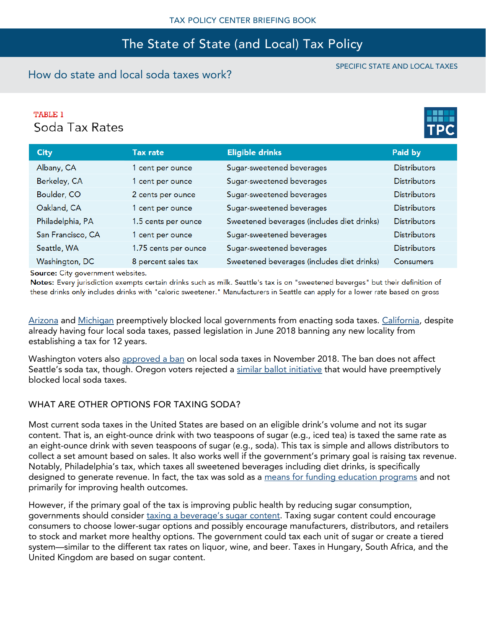## The State of State (and Local) Tax Policy

### How do state and local soda taxes work?

## **TABLE 1** Soda Tax Rates



SPECIFIC STATE AND LOCAL TAXES

| <b>City</b>       | <b>Tax rate</b>      | <b>Eligible drinks</b>                     | Paid by             |
|-------------------|----------------------|--------------------------------------------|---------------------|
| Albany, CA        | 1 cent per ounce     | Sugar-sweetened beverages                  | <b>Distributors</b> |
| Berkeley, CA      | 1 cent per ounce     | Sugar-sweetened beverages                  | <b>Distributors</b> |
| Boulder, CO       | 2 cents per ounce    | Sugar-sweetened beverages                  | <b>Distributors</b> |
| Oakland, CA       | 1 cent per ounce     | Sugar-sweetened beverages                  | <b>Distributors</b> |
| Philadelphia, PA  | 1.5 cents per ounce  | Sweetened beverages (includes diet drinks) | <b>Distributors</b> |
| San Francisco, CA | 1 cent per ounce     | Sugar-sweetened beverages                  | <b>Distributors</b> |
| Seattle, WA       | 1.75 cents per ounce | Sugar-sweetened beverages                  | <b>Distributors</b> |
| Washington, DC    | 8 percent sales tax  | Sweetened beverages (includes diet drinks) | Consumers           |
|                   |                      |                                            |                     |

Source: City government websites.

Notes: Every jurisdiction exempts certain drinks such as milk. Seattle's tax is on "sweetened beverges" but their definition of these drinks only includes drinks with "caloric sweetener." Manufacturers in Seattle can apply for a lower rate based on gross

[Arizona](https://www.azcentral.com/story/news/politics/legislature/2018/03/19/arizona-bans-extra-taxes-soda-sugary-drinks/433235002/) and [Michigan](https://nbc25news.com/news/state/michigan-senate-approves-bill-to-prevent-soda-food-taxes) preemptively blocked local governments from enacting soda taxes. [California,](https://www.nytimes.com/2018/06/27/upshot/california-banning-soda-taxes-a-new-industry-strategy-is-stunning-some-lawmakers.html?smtyp=cur&smid=tw-upshotnyt) despite already having four local soda taxes, passed legislation in June 2018 banning any new locality from establishing a tax for 12 years.

Washington voters also [approved a ban](https://ballotpedia.org/Washington_Initiative_1634,_Prohibit_Local_Taxes_on_Groceries_Measure_(2018)) on local soda taxes in November 2018. The ban does not affect Seattle's soda tax, though. Oregon voters rejected a [similar ballot initiative](https://ballotpedia.org/Oregon_Measure_103,_Ban_Tax_on_Groceries_Initiative_(2018)) that would have preemptively blocked local soda taxes.

### WHAT ARE OTHER OPTIONS FOR TAXING SODA?

Most current soda taxes in the United States are based on an eligible drink's volume and not its sugar content. That is, an eight-ounce drink with two teaspoons of sugar (e.g., iced tea) is taxed the same rate as an eight-ounce drink with seven teaspoons of sugar (e.g., soda). This tax is simple and allows distributors to collect a set amount based on sales. It also works well if the government's primary goal is raising tax revenue. Notably, Philadelphia's tax, which taxes all sweetened beverages including diet drinks, is specifically designed to generate revenue. In fact, the tax was sold as a [means for funding education programs](https://www.taxpolicycenter.org/taxvox/philadelphias-soda-tax-shouldnt-take-kids-out-classroom) and not primarily for improving health outcomes.

However, if the primary goal of the tax is improving public health by reducing sugar consumption, governments should consider ta[xing a beverage's sugar content](https://www.taxpolicycenter.org/publications/pros-and-cons-taxing-sweetened-beverages-based-sugar-content-0). Taxing sugar content could encourage consumers to choose lower-sugar options and possibly encourage manufacturers, distributors, and retailers to stock and market more healthy options. The government could tax each unit of sugar or create a tiered system—similar to the different tax rates on liquor, wine, and beer. Taxes in Hungary, South Africa, and the United Kingdom are based on sugar content.